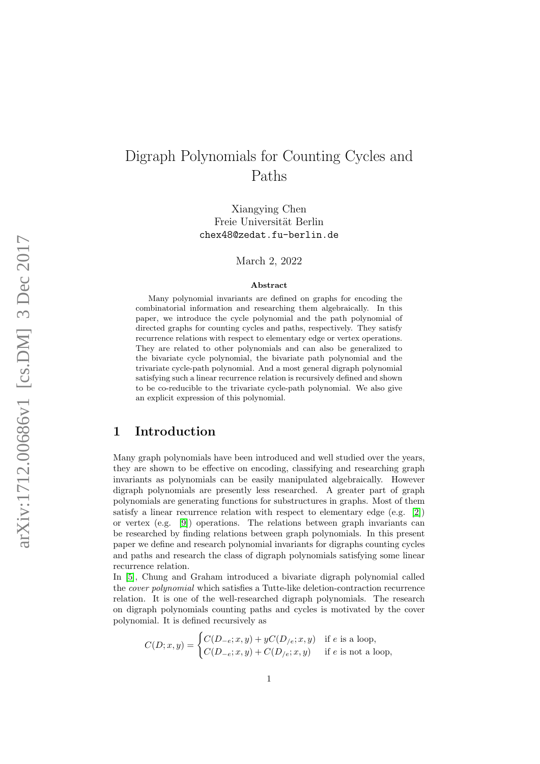# Digraph Polynomials for Counting Cycles and Paths

Xiangying Chen Freie Universität Berlin chex48@zedat.fu-berlin.de

March 2, 2022

#### Abstract

Many polynomial invariants are defined on graphs for encoding the combinatorial information and researching them algebraically. In this paper, we introduce the cycle polynomial and the path polynomial of directed graphs for counting cycles and paths, respectively. They satisfy recurrence relations with respect to elementary edge or vertex operations. They are related to other polynomials and can also be generalized to the bivariate cycle polynomial, the bivariate path polynomial and the trivariate cycle-path polynomial. And a most general digraph polynomial satisfying such a linear recurrence relation is recursively defined and shown to be co-reducible to the trivariate cycle-path polynomial. We also give an explicit expression of this polynomial.

## 1 Introduction

Many graph polynomials have been introduced and well studied over the years, they are shown to be effective on encoding, classifying and researching graph invariants as polynomials can be easily manipulated algebraically. However digraph polynomials are presently less researched. A greater part of graph polynomials are generating functions for substructures in graphs. Most of them satisfy a linear recurrence relation with respect to elementary edge (e.g. [\[2\]](#page-16-0)) or vertex (e.g. [\[9\]](#page-17-0)) operations. The relations between graph invariants can be researched by finding relations between graph polynomials. In this present paper we define and research polynomial invariants for digraphs counting cycles and paths and research the class of digraph polynomials satisfying some linear recurrence relation.

In [\[5\]](#page-16-1), Chung and Graham introduced a bivariate digraph polynomial called the cover polynomial which satisfies a Tutte-like deletion-contraction recurrence relation. It is one of the well-researched digraph polynomials. The research on digraph polynomials counting paths and cycles is motivated by the cover polynomial. It is defined recursively as

$$
C(D; x, y) = \begin{cases} C(D_{-e}; x, y) + yC(D_{/e}; x, y) & \text{if } e \text{ is a loop,} \\ C(D_{-e}; x, y) + C(D_{/e}; x, y) & \text{if } e \text{ is not a loop,} \end{cases}
$$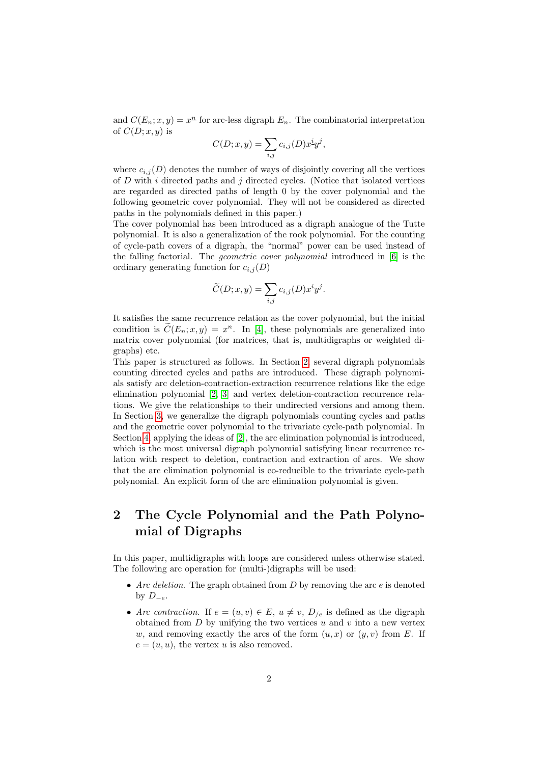and  $C(E_n; x, y) = x^{\underline{n}}$  for arc-less digraph  $E_n$ . The combinatorial interpretation of  $C(D; x, y)$  is

$$
C(D; x, y) = \sum_{i,j} c_{i,j}(D)x^i y^j,
$$

where  $c_{i,j}(D)$  denotes the number of ways of disjointly covering all the vertices of  $D$  with i directed paths and j directed cycles. (Notice that isolated vertices are regarded as directed paths of length 0 by the cover polynomial and the following geometric cover polynomial. They will not be considered as directed paths in the polynomials defined in this paper.)

The cover polynomial has been introduced as a digraph analogue of the Tutte polynomial. It is also a generalization of the rook polynomial. For the counting of cycle-path covers of a digraph, the "normal" power can be used instead of the falling factorial. The geometric cover polynomial introduced in [\[6\]](#page-16-2) is the ordinary generating function for  $c_{i,j}(D)$ 

$$
\widetilde{C}(D; x, y) = \sum_{i,j} c_{i,j}(D) x^i y^j.
$$

It satisfies the same recurrence relation as the cover polynomial, but the initial condition is  $\widetilde{C}(E_n; x, y) = x^n$ . In [\[4\]](#page-16-3), these polynomials are generalized into matrix cover polynomial (for matrices, that is, multidigraphs or weighted digraphs) etc.

This paper is structured as follows. In Section [2,](#page-1-0) several digraph polynomials counting directed cycles and paths are introduced. These digraph polynomials satisfy arc deletion-contraction-extraction recurrence relations like the edge elimination polynomial [\[2,](#page-16-0) [3\]](#page-16-4) and vertex deletion-contraction recurrence relations. We give the relationships to their undirected versions and among them. In Section [3,](#page-6-0) we generalize the digraph polynomials counting cycles and paths and the geometric cover polynomial to the trivariate cycle-path polynomial. In Section [4,](#page-8-0) applying the ideas of [\[2\]](#page-16-0), the arc elimination polynomial is introduced, which is the most universal digraph polynomial satisfying linear recurrence relation with respect to deletion, contraction and extraction of arcs. We show that the arc elimination polynomial is co-reducible to the trivariate cycle-path polynomial. An explicit form of the arc elimination polynomial is given.

## <span id="page-1-0"></span>2 The Cycle Polynomial and the Path Polynomial of Digraphs

In this paper, multidigraphs with loops are considered unless otherwise stated. The following arc operation for (multi-)digraphs will be used:

- Arc deletion. The graph obtained from  $D$  by removing the arc  $e$  is denoted by  $D_{-e}$ .
- Arc contraction. If  $e = (u, v) \in E$ ,  $u \neq v$ ,  $D_{e}$  is defined as the digraph obtained from  $D$  by unifying the two vertices  $u$  and  $v$  into a new vertex w, and removing exactly the arcs of the form  $(u, x)$  or  $(y, v)$  from E. If  $e = (u, u)$ , the vertex u is also removed.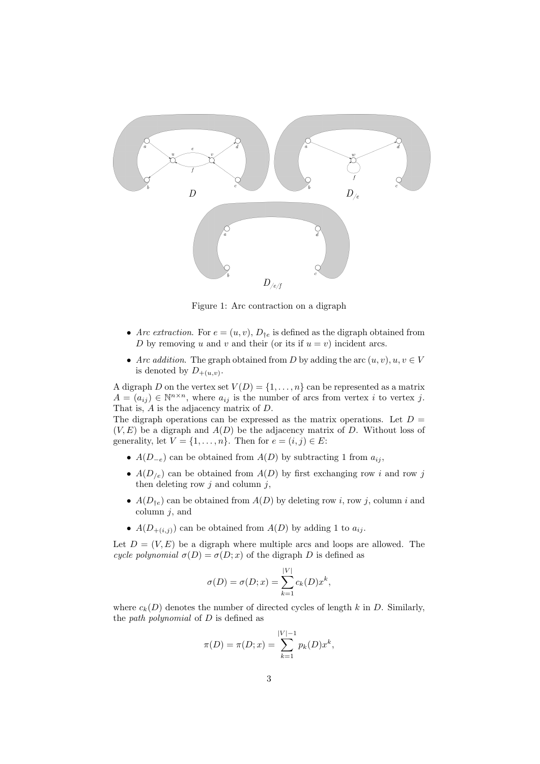

Figure 1: Arc contraction on a digraph

- Arc extraction. For  $e = (u, v)$ ,  $D_{te}$  is defined as the digraph obtained from D by removing u and v and their (or its if  $u = v$ ) incident arcs.
- Arc addition. The graph obtained from D by adding the arc  $(u, v), u, v \in V$ is denoted by  $D_{+(u,v)}$ .

A digraph D on the vertex set  $V(D) = \{1, \ldots, n\}$  can be represented as a matrix  $A = (a_{ij}) \in \mathbb{N}^{n \times n}$ , where  $a_{ij}$  is the number of arcs from vertex i to vertex j. That is, A is the adjacency matrix of D.

The digraph operations can be expressed as the matrix operations. Let  $D =$  $(V, E)$  be a digraph and  $A(D)$  be the adjacency matrix of D. Without loss of generality, let  $V = \{1, \ldots, n\}$ . Then for  $e = (i, j) \in E$ :

- $A(D_{-e})$  can be obtained from  $A(D)$  by subtracting 1 from  $a_{ij}$ ,
- $A(D_{/e})$  can be obtained from  $A(D)$  by first exchanging row i and row j then deleting row  $i$  and column  $i$ ,
- $A(D_{te})$  can be obtained from  $A(D)$  by deleting row i, row j, column i and column  $i$ , and
- $A(D_{+(i,j)})$  can be obtained from  $A(D)$  by adding 1 to  $a_{ij}$ .

Let  $D = (V, E)$  be a digraph where multiple arcs and loops are allowed. The cycle polynomial  $\sigma(D) = \sigma(D; x)$  of the digraph D is defined as

$$
\sigma(D) = \sigma(D; x) = \sum_{k=1}^{|V|} c_k(D)x^k,
$$

where  $c_k(D)$  denotes the number of directed cycles of length k in D. Similarly, the *path polynomial* of  $D$  is defined as

$$
\pi(D) = \pi(D; x) = \sum_{k=1}^{|V|-1} p_k(D)x^k,
$$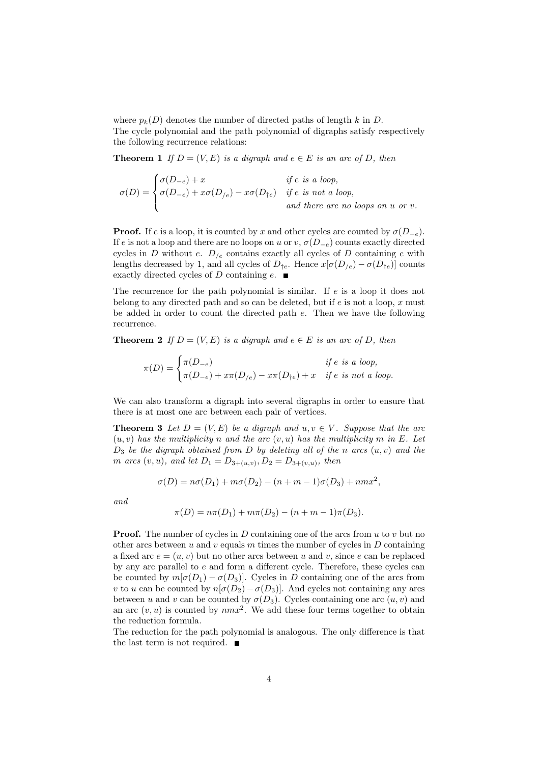where  $p_k(D)$  denotes the number of directed paths of length k in D. The cycle polynomial and the path polynomial of digraphs satisfy respectively the following recurrence relations:

**Theorem 1** If  $D = (V, E)$  is a digraph and  $e \in E$  is an arc of D, then

$$
\sigma(D) = \begin{cases} \sigma(D_{-e}) + x & \text{if } e \text{ is a loop,} \\ \sigma(D_{-e}) + x\sigma(D_{/e}) - x\sigma(D_{\dagger e}) & \text{if } e \text{ is not a loop,} \\ & \text{and there are no loops on } u \text{ or } v. \end{cases}
$$

**Proof.** If e is a loop, it is counted by x and other cycles are counted by  $\sigma(D_{-e})$ . If e is not a loop and there are no loops on u or v,  $\sigma(D_{-e})$  counts exactly directed cycles in D without e.  $D_{\ell e}$  contains exactly all cycles of D containing e with lengths decreased by 1, and all cycles of  $D_{\dagger e}$ . Hence  $x[\sigma(D_{/e}) - \sigma(D_{\dagger e})]$  counts exactly directed cycles of D containing e.  $\blacksquare$ 

The recurrence for the path polynomial is similar. If  $e$  is a loop it does not belong to any directed path and so can be deleted, but if  $e$  is not a loop, x must be added in order to count the directed path  $e$ . Then we have the following recurrence.

**Theorem 2** If  $D = (V, E)$  is a digraph and  $e \in E$  is an arc of D, then

$$
\pi(D) = \begin{cases} \pi(D_{-e}) & \text{if } e \text{ is a loop,} \\ \pi(D_{-e}) + x\pi(D_{/e}) - x\pi(D_{\dagger e}) + x & \text{if } e \text{ is not a loop.} \end{cases}
$$

We can also transform a digraph into several digraphs in order to ensure that there is at most one arc between each pair of vertices.

**Theorem 3** Let  $D = (V, E)$  be a digraph and  $u, v \in V$ . Suppose that the arc  $(u, v)$  has the multiplicity n and the arc  $(v, u)$  has the multiplicity m in E. Let  $D_3$  be the digraph obtained from D by deleting all of the n arcs  $(u, v)$  and the *m* arcs  $(v, u)$ , and let  $D_1 = D_{3+(u,v)}, D_2 = D_{3+(v,u)},$  then

$$
\sigma(D) = n\sigma(D_1) + m\sigma(D_2) - (n + m - 1)\sigma(D_3) + nmx^2,
$$

and

$$
\pi(D) = n\pi(D_1) + m\pi(D_2) - (n+m-1)\pi(D_3).
$$

**Proof.** The number of cycles in  $D$  containing one of the arcs from  $u$  to  $v$  but no other arcs between u and v equals m times the number of cycles in D containing a fixed arc  $e = (u, v)$  but no other arcs between u and v, since e can be replaced by any arc parallel to e and form a different cycle. Therefore, these cycles can be counted by  $m[\sigma(D_1) - \sigma(D_3)]$ . Cycles in D containing one of the arcs from v to u can be counted by  $n[\sigma(D_2)-\sigma(D_3)]$ . And cycles not containing any arcs between u and v can be counted by  $\sigma(D_3)$ . Cycles containing one arc  $(u, v)$  and an arc  $(v, u)$  is counted by  $nmx^2$ . We add these four terms together to obtain the reduction formula.

The reduction for the path polynomial is analogous. The only difference is that the last term is not required.  $\blacksquare$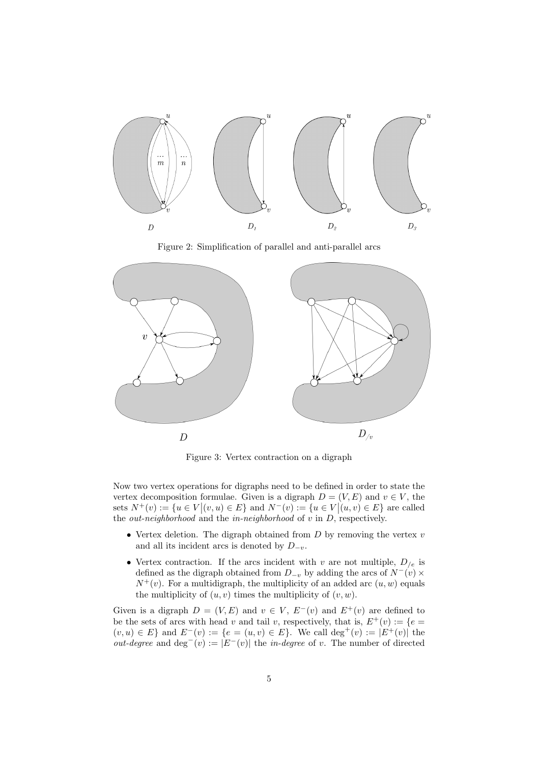

Figure 2: Simplification of parallel and anti-parallel arcs



Figure 3: Vertex contraction on a digraph

Now two vertex operations for digraphs need to be defined in order to state the vertex decomposition formulae. Given is a digraph  $D = (V, E)$  and  $v \in V$ , the sets  $N^+(v) := \{u \in V | (v, u) \in E\}$  and  $N^-(v) := \{u \in V | (u, v) \in E\}$  are called the *out-neighborhood* and the *in-neighborhood* of  $v$  in  $D$ , respectively.

- Vertex deletion. The digraph obtained from  $D$  by removing the vertex  $v$ and all its incident arcs is denoted by  $D_{-v}$ .
- Vertex contraction. If the arcs incident with v are not multiple,  $D_{\ell_e}$  is defined as the digraph obtained from  $D_{-v}$  by adding the arcs of  $N^-(v) \times$  $N^+(v)$ . For a multidigraph, the multiplicity of an added arc  $(u, w)$  equals the multiplicity of  $(u, v)$  times the multiplicity of  $(v, w)$ .

Given is a digraph  $D = (V, E)$  and  $v \in V$ ,  $E^-(v)$  and  $E^+(v)$  are defined to be the sets of arcs with head v and tail v, respectively, that is,  $E^+(v) := \{e =$  $(v, u) \in E$  and  $E^{-}(v) := \{e = (u, v) \in E\}$ . We call  $\deg^{+}(v) := |E^{+}(v)|$  the *out-degree* and deg<sup>-</sup>(v) :=  $|E^{-}(v)|$  the *in-degree* of v. The number of directed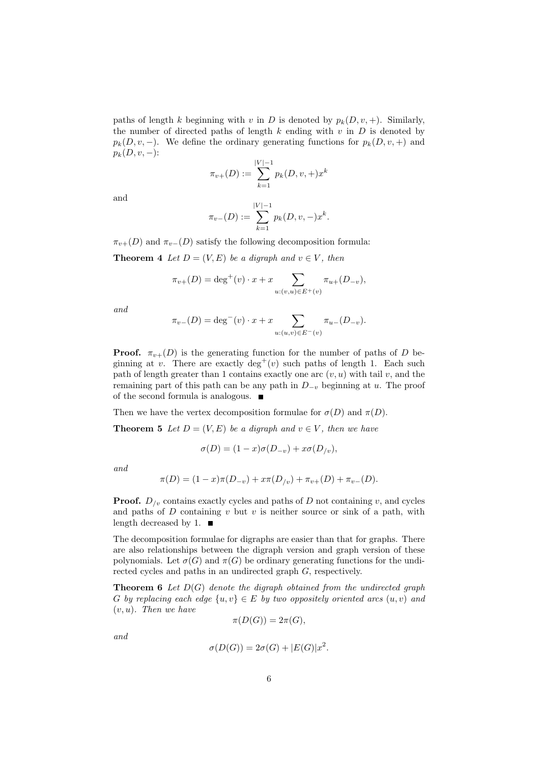paths of length k beginning with v in D is denoted by  $p_k(D, v, +)$ . Similarly, the number of directed paths of length  $k$  ending with  $v$  in  $D$  is denoted by  $p_k(D, v, -)$ . We define the ordinary generating functions for  $p_k(D, v, +)$  and  $p_k(D, v, -)$ :

$$
\pi_{v+}(D) := \sum_{k=1}^{|V|-1} p_k(D, v, +) x^k
$$

and

$$
\pi_{v-}(D) := \sum_{k=1}^{|V|-1} p_k(D, v, -) x^k.
$$

 $\pi_{v+}(D)$  and  $\pi_{v-}(D)$  satisfy the following decomposition formula:

**Theorem 4** Let  $D = (V, E)$  be a digraph and  $v \in V$ , then

$$
\pi_{v+}(D) = \deg^+(v) \cdot x + x \sum_{u:(v,u) \in E^+(v)} \pi_{u+}(D_{-v}),
$$

and

$$
\pi_{v-}(D) = \deg^{-}(v) \cdot x + x \sum_{u:(u,v) \in E^{-}(v)} \pi_{u-}(D_{-v}).
$$

**Proof.**  $\pi_{v+}(D)$  is the generating function for the number of paths of D beginning at v. There are exactly deg<sup>+</sup>(v) such paths of length 1. Each such path of length greater than 1 contains exactly one arc  $(v, u)$  with tail v, and the remaining part of this path can be any path in  $D_{-v}$  beginning at u. The proof of the second formula is analogous.

Then we have the vertex decomposition formulae for  $\sigma(D)$  and  $\pi(D)$ .

**Theorem 5** Let  $D = (V, E)$  be a digraph and  $v \in V$ , then we have

$$
\sigma(D) = (1 - x)\sigma(D_{-v}) + x\sigma(D_{/v}),
$$

and

$$
\pi(D) = (1 - x)\pi(D_{-v}) + x\pi(D_{/v}) + \pi_{v+}(D) + \pi_{v-}(D).
$$

**Proof.**  $D_{\ell v}$  contains exactly cycles and paths of D not containing v, and cycles and paths of  $D$  containing  $v$  but  $v$  is neither source or sink of a path, with length decreased by 1.  $\blacksquare$ 

The decomposition formulae for digraphs are easier than that for graphs. There are also relationships between the digraph version and graph version of these polynomials. Let  $\sigma(G)$  and  $\pi(G)$  be ordinary generating functions for the undirected cycles and paths in an undirected graph G, respectively.

**Theorem 6** Let  $D(G)$  denote the digraph obtained from the undirected graph G by replacing each edge  $\{u, v\} \in E$  by two oppositely oriented arcs  $(u, v)$  and  $(v, u)$ . Then we have

$$
\pi(D(G))=2\pi(G),
$$

and

$$
\sigma(D(G)) = 2\sigma(G) + |E(G)|x^2.
$$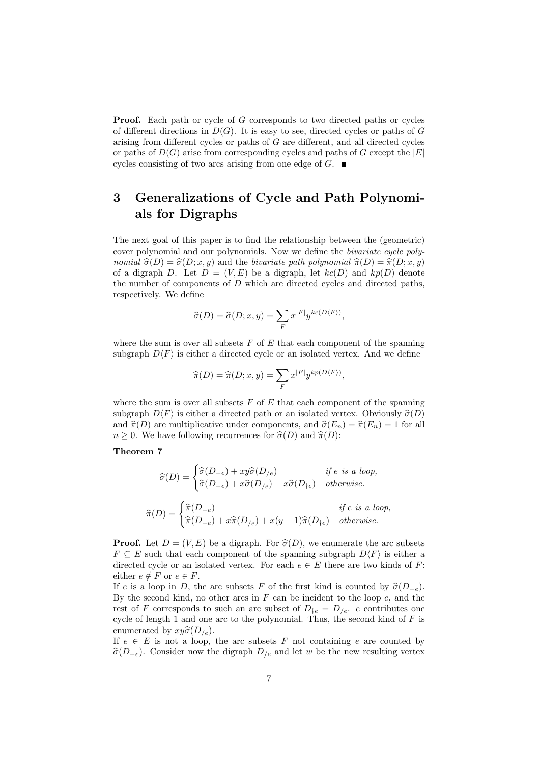**Proof.** Each path or cycle of G corresponds to two directed paths or cycles of different directions in  $D(G)$ . It is easy to see, directed cycles or paths of G arising from different cycles or paths of G are different, and all directed cycles or paths of  $D(G)$  arise from corresponding cycles and paths of G except the  $|E|$ cycles consisting of two arcs arising from one edge of  $G$ .

## <span id="page-6-0"></span>3 Generalizations of Cycle and Path Polynomials for Digraphs

The next goal of this paper is to find the relationship between the (geometric) cover polynomial and our polynomials. Now we define the bivariate cycle polynomial  $\hat{\sigma}(D) = \hat{\sigma}(D; x, y)$  and the bivariate path polynomial  $\hat{\pi}(D) = \hat{\pi}(D; x, y)$ of a digraph D. Let  $D = (V, E)$  be a digraph, let  $kc(D)$  and  $kp(D)$  denote the number of components of  $D$  which are directed cycles and directed paths, respectively. We define

$$
\widehat{\sigma}(D) = \widehat{\sigma}(D; x, y) = \sum_{F} x^{|F|} y^{kc(D\langle F \rangle)},
$$

where the sum is over all subsets  $F$  of  $E$  that each component of the spanning subgraph  $D\langle F \rangle$  is either a directed cycle or an isolated vertex. And we define

$$
\widehat{\pi}(D) = \widehat{\pi}(D; x, y) = \sum_{F} x^{|F|} y^{kp(D \langle F \rangle)},
$$

where the sum is over all subsets  $F$  of  $E$  that each component of the spanning subgraph  $D\langle F \rangle$  is either a directed path or an isolated vertex. Obviously  $\hat{\sigma}(D)$ and  $\hat{\pi}(D)$  are multiplicative under components, and  $\hat{\sigma}(E_n) = \hat{\pi}(E_n) = 1$  for all  $n \geq 0$ . We have following recurrences for  $\hat{\sigma}(D)$  and  $\hat{\pi}(D)$ :

### Theorem 7

$$
\widehat{\sigma}(D) = \begin{cases}\n\widehat{\sigma}(D_{-e}) + xy \widehat{\sigma}(D_{/e}) & \text{if } e \text{ is a loop,} \\
\widehat{\sigma}(D_{-e}) + x \widehat{\sigma}(D_{/e}) - x \widehat{\sigma}(D_{\dagger e}) & \text{otherwise.} \n\end{cases}
$$
\n
$$
\widehat{\pi}(D) = \begin{cases}\n\widehat{\pi}(D_{-e}) & \text{if } e \text{ is a loop,} \\
\widehat{\pi}(D_{-e}) + x \widehat{\pi}(D_{/e}) + x(y - 1) \widehat{\pi}(D_{\dagger e}) & \text{otherwise.}\n\end{cases}
$$

**Proof.** Let  $D = (V, E)$  be a digraph. For  $\hat{\sigma}(D)$ , we enumerate the arc subsets  $F \subseteq E$  such that each component of the spanning subgraph  $D\langle F \rangle$  is either a directed cycle or an isolated vertex. For each  $e \in E$  there are two kinds of F: either  $e \notin F$  or  $e \in F$ .

If e is a loop in D, the arc subsets F of the first kind is counted by  $\hat{\sigma}(D_{-e})$ . By the second kind, no other arcs in  $F$  can be incident to the loop  $e$ , and the rest of F corresponds to such an arc subset of  $D_{\dagger e} = D_{/e}$ . e contributes one cycle of length 1 and one arc to the polynomial. Thus, the second kind of  $F$  is enumerated by  $xy\hat{\sigma}(D_{/e})$ .

If  $e \in E$  is not a loop, the arc subsets F not containing e are counted by  $\hat{\sigma}(D_{-e})$ . Consider now the digraph  $D_{/e}$  and let w be the new resulting vertex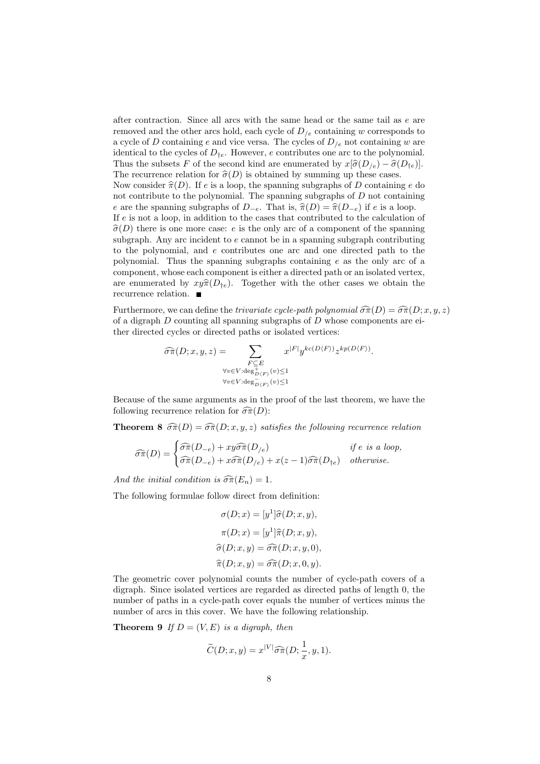after contraction. Since all arcs with the same head or the same tail as  $e$  are removed and the other arcs hold, each cycle of  $D_{\ell e}$  containing w corresponds to a cycle of D containing e and vice versa. The cycles of  $D_{/e}$  not containing w are identical to the cycles of  $D_{te}$ . However, e contributes one arc to the polynomial. Thus the subsets F of the second kind are enumerated by  $x[\hat{\sigma}(D_{/e}) - \hat{\sigma}(D_{te})]$ . The recurrence relation for  $\hat{\sigma}(D)$  is obtained by summing up these cases. Now consider  $\hat{\pi}(D)$ . If e is a loop, the spanning subgraphs of D containing e do not contribute to the polynomial. The spanning subgraphs of  $D$  not containing e are the spanning subgraphs of  $D_{-e}$ . That is,  $\hat{\pi}(D) = \hat{\pi}(D_{-e})$  if e is a loop. If e is not a loop, in addition to the cases that contributed to the calculation of  $\hat{\sigma}(D)$  there is one more case: e is the only arc of a component of the spanning subgraph. Any arc incident to  $e$  cannot be in a spanning subgraph contributing to the polynomial, and e contributes one arc and one directed path to the polynomial. Thus the spanning subgraphs containing e as the only arc of a component, whose each component is either a directed path or an isolated vertex, are enumerated by  $xy\hat{\pi}(D_{te})$ . Together with the other cases we obtain the recurrence relation.

Furthermore, we can define the *trivariate cycle-path polynomial*  $\widehat{\sigma}\widehat{\pi}(D) = \widehat{\sigma}\widehat{\pi}(D;x,y,z)$ of a digraph  $D$  counting all spanning subgraphs of  $D$  whose components are either directed cycles or directed paths or isolated vertices:

$$
\widehat{\sigma}\widehat{\pi}(D;x,y,z) = \sum_{\substack{F \subseteq E \\ \forall v \in V : \deg^{\pm}_{D(F)}(v) \le 1 \\ \forall v \in V : \deg^{\pm}_{D(F)}(v) \le 1}} x^{|F|} y^{kc(D\langle F \rangle)} z^{kp(D\langle F \rangle)}.
$$

Because of the same arguments as in the proof of the last theorem, we have the following recurrence relation for  $\widehat{\sigma}\widehat{\pi}(D)$ :

**Theorem 8**  $\widehat{\sigma}\widehat{\pi}(D) = \widehat{\sigma}\widehat{\pi}(D; x, y, z)$  satisfies the following recurrence relation

$$
\widehat{\sigma}\widehat{\pi}(D) = \begin{cases}\n\widehat{\sigma}\widehat{\pi}(D_{-e}) + xy\widehat{\sigma}\widehat{\pi}(D_{/e}) & \text{if } e \text{ is a loop,} \\
\widehat{\sigma}\widehat{\pi}(D_{-e}) + x\widehat{\sigma}\widehat{\pi}(D_{/e}) + x(z-1)\widehat{\sigma}\widehat{\pi}(D_{\dagger e}) & \text{otherwise.} \n\end{cases}
$$

And the initial condition is  $\widehat{\sigma}\widehat{\pi}(E_n) = 1$ .

The following formulae follow direct from definition:

$$
\sigma(D; x) = [y^1]\hat{\sigma}(D; x, y),
$$

$$
\pi(D; x) = [y^1]\hat{\pi}(D; x, y),
$$

$$
\hat{\sigma}(D; x, y) = \hat{\sigma}\hat{\pi}(D; x, y, 0),
$$

$$
\hat{\pi}(D; x, y) = \hat{\sigma}\hat{\pi}(D; x, 0, y).
$$

The geometric cover polynomial counts the number of cycle-path covers of a digraph. Since isolated vertices are regarded as directed paths of length 0, the number of paths in a cycle-path cover equals the number of vertices minus the number of arcs in this cover. We have the following relationship.

**Theorem 9** If  $D = (V, E)$  is a digraph, then

$$
\widetilde{C}(D; x, y) = x^{|V|} \widehat{\sigma} \widehat{\pi}(D; \frac{1}{x}, y, 1).
$$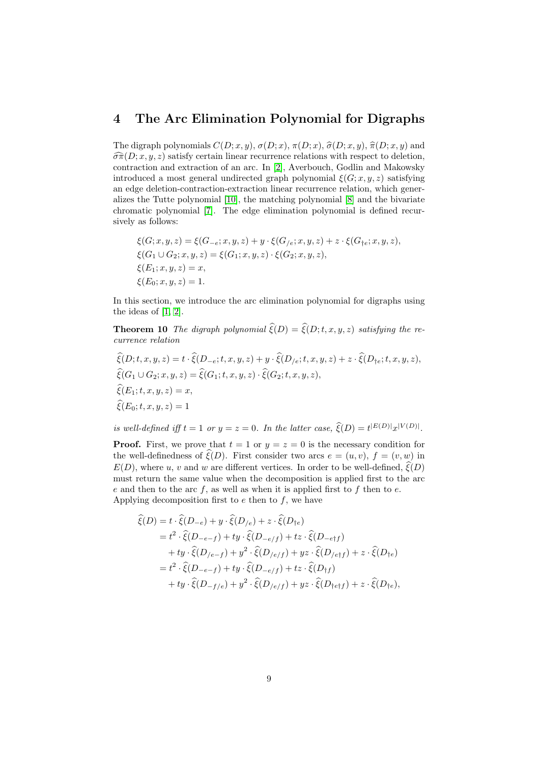### <span id="page-8-0"></span>4 The Arc Elimination Polynomial for Digraphs

The digraph polynomials  $C(D; x, y)$ ,  $\sigma(D; x)$ ,  $\pi(D; x)$ ,  $\hat{\sigma}(D; x, y)$ ,  $\hat{\pi}(D; x, y)$  and  $\widehat{\sigma}\widehat{\pi}(D; x, y, z)$  satisfy certain linear recurrence relations with respect to deletion, contraction and extraction of an arc. In [\[2\]](#page-16-0), Averbouch, Godlin and Makowsky introduced a most general undirected graph polynomial  $\xi(G; x, y, z)$  satisfying an edge deletion-contraction-extraction linear recurrence relation, which generalizes the Tutte polynomial [\[10\]](#page-17-1), the matching polynomial [\[8\]](#page-17-2) and the bivariate chromatic polynomial [\[7\]](#page-17-3). The edge elimination polynomial is defined recursively as follows:

$$
\xi(G; x, y, z) = \xi(G_{-e}; x, y, z) + y \cdot \xi(G_{/e}; x, y, z) + z \cdot \xi(G_{\dagger e}; x, y, z),
$$
  
\n
$$
\xi(G_1 \cup G_2; x, y, z) = \xi(G_1; x, y, z) \cdot \xi(G_2; x, y, z),
$$
  
\n
$$
\xi(E_1; x, y, z) = x,
$$
  
\n
$$
\xi(E_0; x, y, z) = 1.
$$

In this section, we introduce the arc elimination polynomial for digraphs using the ideas of  $[1, 2]$  $[1, 2]$ .

<span id="page-8-1"></span>**Theorem 10** The digraph polynomial  $\widehat{\xi}(D) = \widehat{\xi}(D;t,x,y,z)$  satisfying the recurrence relation

$$
\begin{aligned}\n\widehat{\xi}(D;t,x,y,z) &= t \cdot \widehat{\xi}(D_{-e};t,x,y,z) + y \cdot \widehat{\xi}(D_{/e};t,x,y,z) + z \cdot \widehat{\xi}(D_{\dagger e};t,x,y,z), \\
\widehat{\xi}(G_1 \cup G_2; x,y,z) &= \widehat{\xi}(G_1;t,x,y,z) \cdot \widehat{\xi}(G_2;t,x,y,z), \\
\widehat{\xi}(E_1;t,x,y,z) &= x, \\
\widehat{\xi}(E_0;t,x,y,z) &= 1\n\end{aligned}
$$

is well-defined iff  $t = 1$  or  $y = z = 0$ . In the latter case,  $\hat{\xi}(D) = t^{|E(D)|} x^{|V(D)|}$ .

**Proof.** First, we prove that  $t = 1$  or  $y = z = 0$  is the necessary condition for the well-definedness of  $\xi(D)$ . First consider two arcs  $e = (u, v), f = (v, w)$  in  $E(D)$ , where u, v and w are different vertices. In order to be well-defined,  $\hat{\xi}(D)$ must return the same value when the decomposition is applied first to the arc e and then to the arc  $f$ , as well as when it is applied first to  $f$  then to  $e$ . Applying decomposition first to  $e$  then to  $f$ , we have

$$
\begin{split}\n\widehat{\xi}(D) &= t \cdot \widehat{\xi}(D_{-e}) + y \cdot \widehat{\xi}(D_{/e}) + z \cdot \widehat{\xi}(D_{\dagger e}) \\
&= t^2 \cdot \widehat{\xi}(D_{-e-f}) + ty \cdot \widehat{\xi}(D_{-e/f}) + tz \cdot \widehat{\xi}(D_{-e\dagger f}) \\
&\quad + ty \cdot \widehat{\xi}(D_{/e-f}) + y^2 \cdot \widehat{\xi}(D_{/e/f}) + yz \cdot \widehat{\xi}(D_{/e\dagger f}) + z \cdot \widehat{\xi}(D_{\dagger e}) \\
&= t^2 \cdot \widehat{\xi}(D_{-e-f}) + ty \cdot \widehat{\xi}(D_{-e/f}) + tz \cdot \widehat{\xi}(D_{\dagger f}) \\
&\quad + ty \cdot \widehat{\xi}(D_{-f/e}) + y^2 \cdot \widehat{\xi}(D_{/e/f}) + yz \cdot \widehat{\xi}(D_{\dagger e\dagger f}) + z \cdot \widehat{\xi}(D_{\dagger e}),\n\end{split}
$$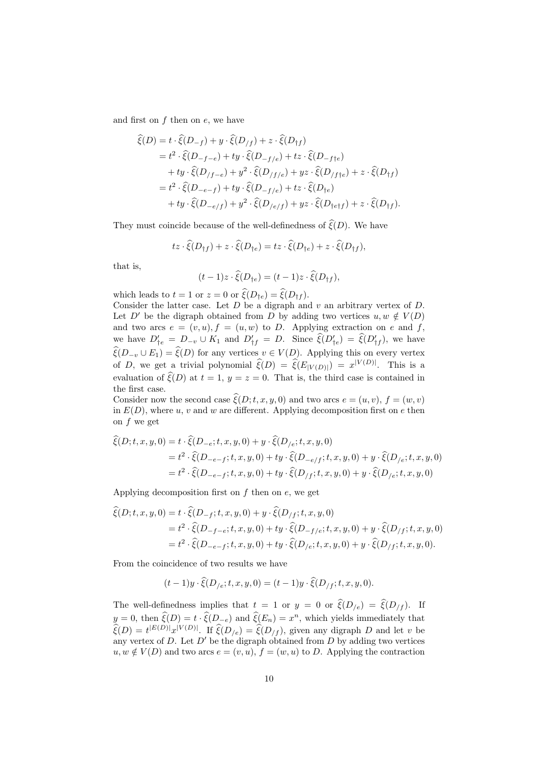and first on  $f$  then on  $e$ , we have

$$
\begin{split}\n\widehat{\xi}(D) &= t \cdot \widehat{\xi}(D_{-f}) + y \cdot \widehat{\xi}(D_{/f}) + z \cdot \widehat{\xi}(D_{\dagger f}) \\
&= t^2 \cdot \widehat{\xi}(D_{-f-e}) + ty \cdot \widehat{\xi}(D_{-f/e}) + tz \cdot \widehat{\xi}(D_{-fte}) \\
&\quad + ty \cdot \widehat{\xi}(D_{/f-e}) + y^2 \cdot \widehat{\xi}(D_{/f/e}) + yz \cdot \widehat{\xi}(D_{/fte}) + z \cdot \widehat{\xi}(D_{\dagger f}) \\
&= t^2 \cdot \widehat{\xi}(D_{-e-f}) + ty \cdot \widehat{\xi}(D_{-f/e}) + tz \cdot \widehat{\xi}(D_{\dagger e}) \\
&\quad + ty \cdot \widehat{\xi}(D_{-e/f}) + y^2 \cdot \widehat{\xi}(D_{/e/f}) + yz \cdot \widehat{\xi}(D_{\dagger ef}) + z \cdot \widehat{\xi}(D_{\dagger f}).\n\end{split}
$$

They must coincide because of the well-definedness of  $\hat{\xi}(D)$ . We have

$$
tz\cdot \widehat{\xi}(D_{\dagger f}) + z\cdot \widehat{\xi}(D_{\dagger e}) = tz\cdot \widehat{\xi}(D_{\dagger e}) + z\cdot \widehat{\xi}(D_{\dagger f}),
$$

that is,

$$
(t-1)z \cdot \hat{\xi}(D_{\dagger e}) = (t-1)z \cdot \hat{\xi}(D_{\dagger f}),
$$

which leads to  $t = 1$  or  $z = 0$  or  $\widehat{\xi}(D_{te}) = \widehat{\xi}(D_{tf}).$ 

Consider the latter case. Let  $D$  be a digraph and  $v$  an arbitrary vertex of  $D$ . Let D' be the digraph obtained from D by adding two vertices  $u, w \notin V(D)$ and two arcs  $e = (v, u), f = (u, w)$  to D. Applying extraction on e and f, we have  $D'_{\dagger e} = D_{-v} \cup K_1$  and  $D'_{\dagger f} = D$ . Since  $\hat{\xi}(D'_{\dagger e}) = \hat{\xi}(D'_{\dagger f})$ , we have  $\widehat{\xi}(D_{-v} \cup E_1) = \widehat{\xi}(D)$  for any vertices  $v \in V(D)$ . Applying this on every vertex of D, we get a trivial polynomial  $\widehat{\xi}(D) = \widehat{\xi}(E_{|V(D)|}) = x^{|V(D)|}$ . This is a evaluation of  $\widehat{\xi}(D)$  at  $t = 1$ ,  $y = z = 0$ . That is, the third case is contained in the first case.

Consider now the second case  $\widehat{\xi}(D; t, x, y, 0)$  and two arcs  $e = (u, v), f = (w, v)$ in  $E(D)$ , where u, v and w are different. Applying decomposition first on e then on  $f$  we get

$$
\begin{aligned} \hat{\xi}(D;t,x,y,0) &= t \cdot \hat{\xi}(D_{-e};t,x,y,0) + y \cdot \hat{\xi}(D_{/e};t,x,y,0) \\ &= t^2 \cdot \hat{\xi}(D_{-e-f};t,x,y,0) + ty \cdot \hat{\xi}(D_{-e/f};t,x,y,0) + y \cdot \hat{\xi}(D_{/e};t,x,y,0) \\ &= t^2 \cdot \hat{\xi}(D_{-e-f};t,x,y,0) + ty \cdot \hat{\xi}(D_{/f};t,x,y,0) + y \cdot \hat{\xi}(D_{/e};t,x,y,0) \end{aligned}
$$

Applying decomposition first on  $f$  then on  $e$ , we get

$$
\begin{aligned} \widehat{\xi}(D;t,x,y,0) &= t \cdot \widehat{\xi}(D_{-f};t,x,y,0) + y \cdot \widehat{\xi}(D_{/f};t,x,y,0) \\ &= t^2 \cdot \widehat{\xi}(D_{-f-e};t,x,y,0) + ty \cdot \widehat{\xi}(D_{-f/e};t,x,y,0) + y \cdot \widehat{\xi}(D_{/f};t,x,y,0) \\ &= t^2 \cdot \widehat{\xi}(D_{-e-f};t,x,y,0) + ty \cdot \widehat{\xi}(D_{/e};t,x,y,0) + y \cdot \widehat{\xi}(D_{/f};t,x,y,0). \end{aligned}
$$

From the coincidence of two results we have

$$
(t-1)y \cdot \hat{\xi}(D_{/e}; t, x, y, 0) = (t-1)y \cdot \hat{\xi}(D_{/f}; t, x, y, 0).
$$

The well-definedness implies that  $t = 1$  or  $y = 0$  or  $\hat{\xi}(D_{/e}) = \hat{\xi}(D_{/f})$ . If  $y = 0$ , then  $\hat{\xi}(D) = t \cdot \hat{\xi}(D_{-e})$  and  $\hat{\xi}(E_n) = x^n$ , which yields immediately that  $\widehat{\xi}(D) = t^{|E(D)|} x^{|V(D)|}$ . If  $\widehat{\xi}(D_{/e}) = \widehat{\xi}(D_{/f})$ , given any digraph D and let v be any vertex of D. Let  $D'$  be the digraph obtained from D by adding two vertices  $u, w \notin V(D)$  and two arcs  $e = (v, u), f = (w, u)$  to D. Applying the contraction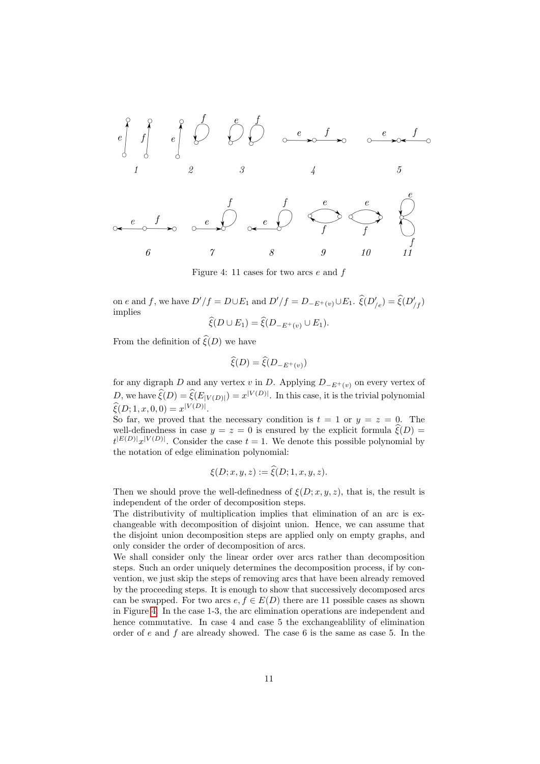

Figure 4: 11 cases for two arcs  $e$  and  $f$ 

on e and f, we have  $D'/f = D \cup E_1$  and  $D'/f = D_{-E^+(v)} \cup E_1$ .  $\hat{\xi}(D'_{/e}) = \hat{\xi}(D'_{/f})$ implies

$$
\xi(D\cup E_1)=\xi(D_{-E^+(v)}\cup E_1).
$$

From the definition of  $\widehat{\xi}(D)$  we have

$$
\widehat{\xi}(D) = \widehat{\xi}(D_{-E^+(v)})
$$

for any digraph D and any vertex v in D. Applying  $D_{-E^+(v)}$  on every vertex of D, we have  $\widehat{\xi}(D) = \widehat{\xi}(E_{|V(D)|}) = x^{|V(D)|}$ . In this case, it is the trivial polynomial  $\widehat{\xi}(D; 1, x, 0, 0) = x^{|V(D)|}.$ 

So far, we proved that the necessary condition is  $t = 1$  or  $y = z = 0$ . The well-definedness in case  $y = z = 0$  is ensured by the explicit formula  $\xi(D) =$  $t^{|E(D)|}x^{|V(D)|}$ . Consider the case  $t = 1$ . We denote this possible polynomial by the notation of edge elimination polynomial:

$$
\xi(D; x, y, z) := \xi(D; 1, x, y, z).
$$

Then we should prove the well-definedness of  $\xi(D; x, y, z)$ , that is, the result is independent of the order of decomposition steps.

The distributivity of multiplication implies that elimination of an arc is exchangeable with decomposition of disjoint union. Hence, we can assume that the disjoint union decomposition steps are applied only on empty graphs, and only consider the order of decomposition of arcs.

We shall consider only the linear order over arcs rather than decomposition steps. Such an order uniquely determines the decomposition process, if by convention, we just skip the steps of removing arcs that have been already removed by the proceeding steps. It is enough to show that successively decomposed arcs can be swapped. For two arcs  $e, f \in E(D)$  there are 11 possible cases as shown in Figure [4.](#page-8-1) In the case 1-3, the arc elimination operations are independent and hence commutative. In case 4 and case 5 the exchangeablility of elimination order of  $e$  and  $f$  are already showed. The case  $6$  is the same as case  $5$ . In the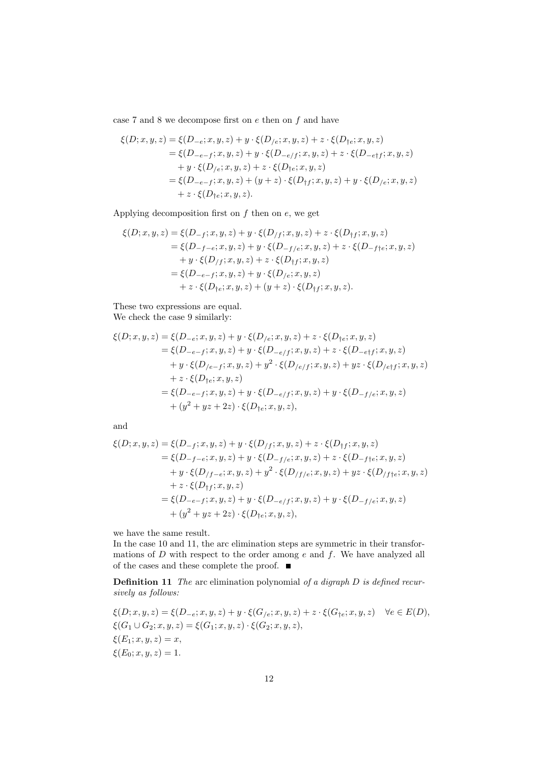case 7 and 8 we decompose first on  $e$  then on  $f$  and have

$$
\xi(D; x, y, z) = \xi(D_{-e}; x, y, z) + y \cdot \xi(D_{/e}; x, y, z) + z \cdot \xi(D_{\text{te}}; x, y, z) \n= \xi(D_{-e-f}; x, y, z) + y \cdot \xi(D_{-e/f}; x, y, z) + z \cdot \xi(D_{-e/f}; x, y, z) \n+ y \cdot \xi(D_{/e}; x, y, z) + z \cdot \xi(D_{\text{te}}; x, y, z) \n= \xi(D_{-e-f}; x, y, z) + (y + z) \cdot \xi(D_{\text{tf}}; x, y, z) + y \cdot \xi(D_{/e}; x, y, z) \n+ z \cdot \xi(D_{\text{te}}; x, y, z).
$$

Applying decomposition first on  $f$  then on  $e$ , we get

$$
\xi(D; x, y, z) = \xi(D_{-f}; x, y, z) + y \cdot \xi(D_{/f}; x, y, z) + z \cdot \xi(D_{\dagger f}; x, y, z) \n= \xi(D_{-f-e}; x, y, z) + y \cdot \xi(D_{-f/e}; x, y, z) + z \cdot \xi(D_{-\dagger f e}; x, y, z) \n+ y \cdot \xi(D_{/f}; x, y, z) + z \cdot \xi(D_{\dagger f}; x, y, z) \n= \xi(D_{-e-f}; x, y, z) + y \cdot \xi(D_{/e}; x, y, z) \n+ z \cdot \xi(D_{\dagger e}; x, y, z) + (y + z) \cdot \xi(D_{\dagger f}; x, y, z).
$$

These two expressions are equal. We check the case 9 similarly:

$$
\xi(D; x, y, z) = \xi(D_{-e}; x, y, z) + y \cdot \xi(D_{/e}; x, y, z) + z \cdot \xi(D_{\text{te}}; x, y, z) \n= \xi(D_{-e-f}; x, y, z) + y \cdot \xi(D_{-e/f}; x, y, z) + z \cdot \xi(D_{-e/f}; x, y, z) \n+ y \cdot \xi(D_{/e-f}; x, y, z) + y^2 \cdot \xi(D_{/e/f}; x, y, z) + yz \cdot \xi(D_{/e/f}; x, y, z) \n+ z \cdot \xi(D_{\text{te}}; x, y, z) \n= \xi(D_{-e-f}; x, y, z) + y \cdot \xi(D_{-e/f}; x, y, z) + y \cdot \xi(D_{-f/e}; x, y, z) \n+ (y^2 + yz + 2z) \cdot \xi(D_{\text{te}}; x, y, z),
$$

and

$$
\begin{aligned} \xi(D;x,y,z) &= \xi(D_{-f};x,y,z) + y \cdot \xi(D_{/f};x,y,z) + z \cdot \xi(D_{\dagger f};x,y,z) \\ &= \xi(D_{-f-e};x,y,z) + y \cdot \xi(D_{-f/e};x,y,z) + z \cdot \xi(D_{-f+e};x,y,z) \\ &\quad + y \cdot \xi(D_{/f-e};x,y,z) + y^2 \cdot \xi(D_{/f/e};x,y,z) + y z \cdot \xi(D_{/f+e};x,y,z) \\ &\quad + z \cdot \xi(D_{\dagger f};x,y,z) \\ &= \xi(D_{-e-f};x,y,z) + y \cdot \xi(D_{-e/f};x,y,z) + y \cdot \xi(D_{-f/e};x,y,z) \\ &\quad + (y^2 + yz + 2z) \cdot \xi(D_{\dagger e};x,y,z), \end{aligned}
$$

we have the same result.

In the case 10 and 11, the arc elimination steps are symmetric in their transformations of  $D$  with respect to the order among  $e$  and  $f$ . We have analyzed all of the cases and these complete the proof.  $\quad \blacksquare$ 

**Definition 11** The arc elimination polynomial of a digraph  $D$  is defined recursively as follows:

$$
\xi(D; x, y, z) = \xi(D_{-e}; x, y, z) + y \cdot \xi(G_{/e}; x, y, z) + z \cdot \xi(G_{\dagger e}; x, y, z) \quad \forall e \in E(D),
$$
  
\n
$$
\xi(G_1 \cup G_2; x, y, z) = \xi(G_1; x, y, z) \cdot \xi(G_2; x, y, z),
$$
  
\n
$$
\xi(E_1; x, y, z) = x,
$$
  
\n
$$
\xi(E_0; x, y, z) = 1.
$$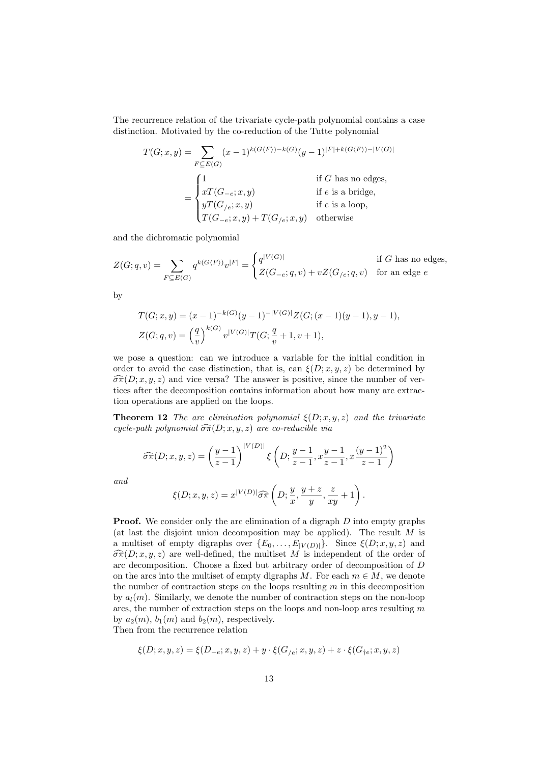The recurrence relation of the trivariate cycle-path polynomial contains a case distinction. Motivated by the co-reduction of the Tutte polynomial

$$
T(G; x, y) = \sum_{F \subseteq E(G)} (x - 1)^{k(G(F)) - k(G)} (y - 1)^{|F| + k(G(F)) - |V(G)|}
$$
  
= 
$$
\begin{cases} 1 & \text{if } G \text{ has no edges,} \\ xT(G_{-e}; x, y) & \text{if } e \text{ is a bridge,} \\ yT(G_{/e}; x, y) & \text{if } e \text{ is a loop,} \\ T(G_{-e}; x, y) + T(G_{/e}; x, y) & \text{otherwise} \end{cases}
$$

and the dichromatic polynomial

$$
Z(G;q,v) = \sum_{F \subseteq E(G)} q^{k(G\langle F \rangle)} v^{|F|} = \begin{cases} q^{|V(G)|} & \text{if } G \text{ has no edges,} \\ Z(G_{-e};q,v) + vZ(G_{/e};q,v) & \text{for an edge } e \end{cases}
$$

by

$$
T(G; x, y) = (x - 1)^{-k(G)}(y - 1)^{-|V(G)|} Z(G; (x - 1)(y - 1), y - 1),
$$
  

$$
Z(G; q, v) = \left(\frac{q}{v}\right)^{k(G)} v^{|V(G)|} T(G; \frac{q}{v} + 1, v + 1),
$$

we pose a question: can we introduce a variable for the initial condition in order to avoid the case distinction, that is, can  $\xi(D; x, y, z)$  be determined by  $\widehat{\sigma}_{\pi}(D; x, y, z)$  and vice versa? The answer is positive, since the number of vertices after the decomposition contains information about how many arc extraction operations are applied on the loops.

**Theorem 12** The arc elimination polynomial  $\xi(D; x, y, z)$  and the trivariate cycle-path polynomial  $\widehat{\sigma}\widehat{\pi}(D; x, y, z)$  are co-reducible via

$$
\widehat{\sigma}\widehat{\pi}(D;x,y,z) = \left(\frac{y-1}{z-1}\right)^{|V(D)|} \xi\left(D; \frac{y-1}{z-1}, x\frac{y-1}{z-1}, x\frac{(y-1)^2}{z-1}\right)
$$

and

$$
\xi(D; x, y, z) = x^{|V(D)|} \widehat{\sigma \pi} \left( D; \frac{y}{x}, \frac{y+z}{y}, \frac{z}{xy} + 1 \right).
$$

**Proof.** We consider only the arc elimination of a digraph D into empty graphs (at last the disjoint union decomposition may be applied). The result  $M$  is a multiset of empty digraphs over  $\{E_0, \ldots, E_{|V(D)|}\}\$ . Since  $\xi(D; x, y, z)$  and  $\widehat{\sigma}\widehat{\pi}(D; x, y, z)$  are well-defined, the multiset M is independent of the order of arc decomposition. Choose a fixed but arbitrary order of decomposition of D on the arcs into the multiset of empty digraphs M. For each  $m \in M$ , we denote the number of contraction steps on the loops resulting  $m$  in this decomposition by  $a_l(m)$ . Similarly, we denote the number of contraction steps on the non-loop arcs, the number of extraction steps on the loops and non-loop arcs resulting  $m$ by  $a_2(m)$ ,  $b_1(m)$  and  $b_2(m)$ , respectively.

Then from the recurrence relation

$$
\xi(D; x, y, z) = \xi(D_{-e}; x, y, z) + y \cdot \xi(G_{/e}; x, y, z) + z \cdot \xi(G_{\dagger e}; x, y, z)
$$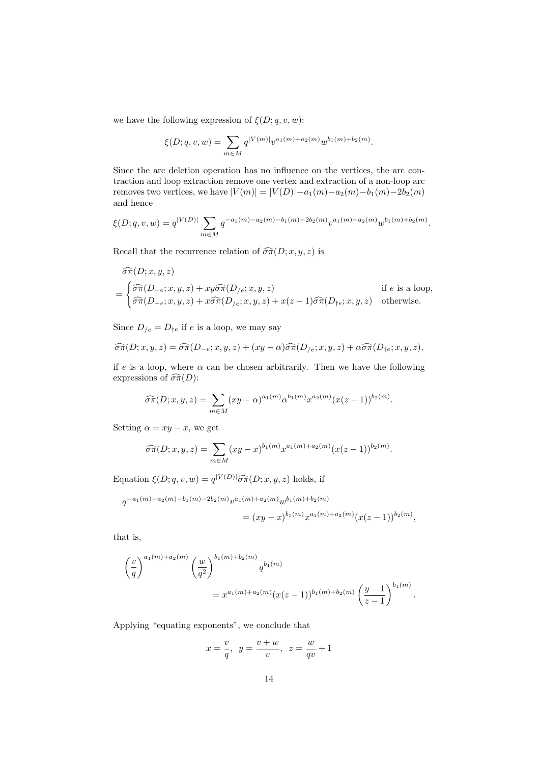we have the following expression of  $\xi(D; q, v, w)$ :

$$
\xi(D;q,v,w) = \sum_{m \in M} q^{|V(m)|} v^{a_1(m) + a_2(m)} w^{b_1(m) + b_2(m)}.
$$

Since the arc deletion operation has no influence on the vertices, the arc contraction and loop extraction remove one vertex and extraction of a non-loop arc removes two vertices, we have  $|V(m)| = |V(D)| - a_1(m) - a_2(m) - b_1(m) - 2b_2(m)$ and hence

$$
\xi(D;q,v,w) = q^{|V(D)|} \sum_{m \in M} q^{-a_1(m) - a_2(m) - b_1(m) - 2b_2(m)} v^{a_1(m) + a_2(m)} w^{b_1(m) + b_2(m)}.
$$

Recall that the recurrence relation of  $\widehat{\sigma}\widehat{\pi}(D; x, y, z)$  is

$$
\widehat{\sigma}\widehat{\pi}(D;x,y,z)
$$
\n
$$
= \begin{cases}\n\widehat{\sigma}\widehat{\pi}(D_{-e};x,y,z) + xy\widehat{\sigma}\widehat{\pi}(D_{/e};x,y,z) & \text{if } e \text{ is a loop,} \\
\widehat{\sigma}\widehat{\pi}(D_{-e};x,y,z) + x\widehat{\sigma}\widehat{\pi}(D_{/e};x,y,z) + x(z-1)\widehat{\sigma}\widehat{\pi}(D_{\uparrow e};x,y,z) & \text{otherwise.}\n\end{cases}
$$

Since  $D_{/e} = D_{\dagger e}$  if e is a loop, we may say

$$
\widehat{\sigma}\widehat{\pi}(D;x,y,z) = \widehat{\sigma}\widehat{\pi}(D_{-e};x,y,z) + (xy - \alpha)\widehat{\sigma}\widehat{\pi}(D_{/e};x,y,z) + \alpha\widehat{\sigma}\widehat{\pi}(D_{\uparrow e};x,y,z),
$$

if e is a loop, where  $\alpha$  can be chosen arbitrarily. Then we have the following expressions of  $\widehat{\sigma}\widehat{\pi}(D)$ :

$$
\widehat{\sigma\pi}(D;x,y,z) = \sum_{m \in M} (xy - \alpha)^{a_1(m)} \alpha^{b_1(m)} x^{a_2(m)} (x(z-1))^{b_2(m)}.
$$

Setting  $\alpha = xy - x$ , we get

$$
\widehat{\sigma\pi}(D;x,y,z) = \sum_{m \in M} (xy - x)^{b_1(m)} x^{a_1(m) + a_2(m)} (x(z-1))^{b_2(m)}.
$$

Equation  $\xi(D; q, v, w) = q^{|V(D)|} \widehat{\sigma} \widehat{\pi}(D; x, y, z)$  holds, if

$$
q^{-a_1(m)-a_2(m)-b_1(m)-2b_2(m)}v^{a_1(m)+a_2(m)}w^{b_1(m)+b_2(m)}
$$
  
=  $(xy-x)^{b_1(m)}x^{a_1(m)+a_2(m)}(x(z-1))^{b_2(m)},$ 

that is,

$$
\left(\frac{v}{q}\right)^{a_1(m)+a_2(m)} \left(\frac{w}{q^2}\right)^{b_1(m)+b_2(m)} q^{b_1(m)}
$$
  
=  $x^{a_1(m)+a_2(m)} (x(z-1))^{b_1(m)+b_2(m)} \left(\frac{y-1}{z-1}\right)^{b_1(m)}$ 

.

Applying "equating exponents", we conclude that

$$
x = \frac{v}{q}, \ y = \frac{v+w}{v}, \ z = \frac{w}{qv} + 1
$$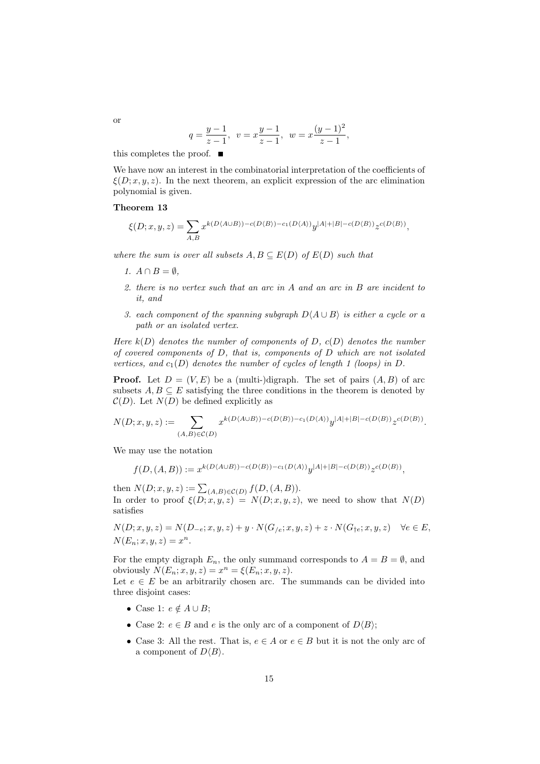$$
q = \frac{y-1}{z-1}, \ v = x\frac{y-1}{z-1}, \ w = x\frac{(y-1)^2}{z-1},
$$

this completes the proof.  $\blacksquare$ 

We have now an interest in the combinatorial interpretation of the coefficients of  $\xi(D; x, y, z)$ . In the next theorem, an explicit expression of the arc elimination polynomial is given.

#### Theorem 13

$$
\xi(D;x,y,z)=\sum_{A,B}x^{k(D\langle A\cup B\rangle)-c(D\langle B\rangle)-c_1(D\langle A\rangle)}y^{|A|+|B|-c(D\langle B\rangle)}z^{c(D\langle B\rangle)},
$$

where the sum is over all subsets  $A, B \subseteq E(D)$  of  $E(D)$  such that

- 1.  $A \cap B = \emptyset$ ,
- 2. there is no vertex such that an arc in A and an arc in B are incident to it, and
- 3. each component of the spanning subgraph  $D\langle A \cup B \rangle$  is either a cycle or a path or an isolated vertex.

Here  $k(D)$  denotes the number of components of D,  $c(D)$  denotes the number of covered components of D, that is, components of D which are not isolated vertices, and  $c_1(D)$  denotes the number of cycles of length 1 (loops) in D.

**Proof.** Let  $D = (V, E)$  be a (multi-)digraph. The set of pairs  $(A, B)$  of arc subsets  $A, B \subseteq E$  satisfying the three conditions in the theorem is denoted by  $C(D)$ . Let  $N(D)$  be defined explicitly as

$$
N(D;x,y,z):=\sum_{(A,B)\in \mathcal{C}(D)}x^{k(D\langle A\cup B\rangle)-c(D\langle B\rangle)-c_1(D\langle A\rangle)}y^{|A|+|B|-c(D\langle B\rangle)}z^{c(D\langle B\rangle)}.
$$

We may use the notation

$$
f(D,(A,B)):=x^{k(D\langle A\cup B\rangle)-c(D\langle B\rangle)-c_1(D\langle A\rangle)}y^{|A|+|B|-c(D\langle B\rangle)}z^{c(D\langle B\rangle)},
$$

then  $N(D; x, y, z) := \sum_{(A, B) \in \mathcal{C}(D)} f(D, (A, B)).$ In order to proof  $\xi(D; x, y, z) = N(D; x, y, z)$ , we need to show that  $N(D)$ satisfies

$$
N(D; x, y, z) = N(D_{-e}; x, y, z) + y \cdot N(G_{/e}; x, y, z) + z \cdot N(G_{\dagger e}; x, y, z) \quad \forall e \in E,
$$
  

$$
N(E_n; x, y, z) = x^n.
$$

For the empty digraph  $E_n$ , the only summand corresponds to  $A = B = \emptyset$ , and obviously  $N(E_n; x, y, z) = x^n = \xi(E_n; x, y, z)$ .

Let  $e \in E$  be an arbitrarily chosen arc. The summands can be divided into three disjoint cases:

- Case 1:  $e \notin A \cup B$ ;
- Case 2:  $e \in B$  and e is the only arc of a component of  $D\langle B \rangle$ ;
- Case 3: All the rest. That is,  $e \in A$  or  $e \in B$  but it is not the only arc of a component of  $D\langle B\rangle$ .

or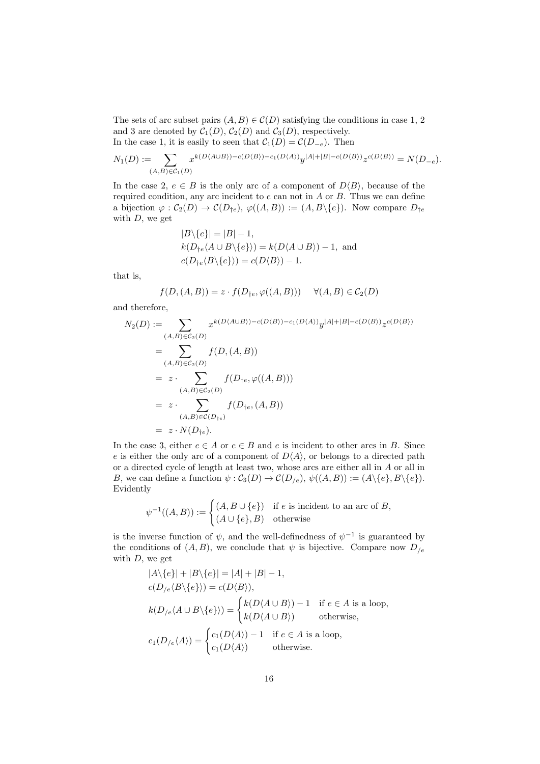The sets of arc subset pairs  $(A, B) \in \mathcal{C}(D)$  satisfying the conditions in case 1, 2 and 3 are denoted by  $C_1(D)$ ,  $C_2(D)$  and  $C_3(D)$ , respectively. In the case 1, it is easily to seen that  $C_1(D) = C(D_{-e})$ . Then

$$
N_1(D):=\!\!\!\!\!\!\!\!\!\!\!\sum_{(A,B)\in {\mathcal C}_1(D)}\!\!\!\!\!\!\!\!\!\!\!\!\!\!x^{k(D\langle A\cup B\rangle)-c(D\langle B\rangle)-c_1(D\langle A\rangle)}y^{|A|+|B|-c(D\langle B\rangle)}z^{c(D\langle B\rangle)}=N(D_{-e}).
$$

In the case 2,  $e \in B$  is the only arc of a component of  $D\langle B \rangle$ , because of the required condition, any arc incident to  $e$  can not in  $A$  or  $B$ . Thus we can define a bijection  $\varphi : C_2(D) \to C(D_{\dagger e}), \varphi((A, B)) := (A, B \setminus \{e\}).$  Now compare  $D_{\dagger e}$ with  $D$ , we get

$$
|B \setminus \{e\}| = |B| - 1,
$$
  
\n
$$
k(D_{\uparrow e} \langle A \cup B \setminus \{e\} \rangle) = k(D \langle A \cup B \rangle) - 1,
$$
 and  
\n
$$
c(D_{\uparrow e} \langle B \setminus \{e\} \rangle) = c(D \langle B \rangle) - 1.
$$

that is,

$$
f(D, (A, B)) = z \cdot f(D_{\dagger e}, \varphi((A, B))) \quad \forall (A, B) \in C_2(D)
$$

and therefore,

$$
N_2(D) := \sum_{(A,B) \in C_2(D)} x^{k(D(A \cup B)) - c(D(B)) - c_1(D(A))} y^{|A| + |B| - c(D(B))} z^{c(D(B))}
$$
  
= 
$$
\sum_{(A,B) \in C_2(D)} f(D, (A, B))
$$
  
= 
$$
z \cdot \sum_{(A,B) \in C_2(D)} f(D_{\dagger e}, \varphi((A, B)))
$$
  
= 
$$
z \cdot \sum_{(A,B) \in C(D_{\dagger e})} f(D_{\dagger e}, (A, B))
$$
  
= 
$$
z \cdot N(D_{\dagger e}).
$$

In the case 3, either  $e \in A$  or  $e \in B$  and e is incident to other arcs in B. Since e is either the only arc of a component of  $D\langle A \rangle$ , or belongs to a directed path or a directed cycle of length at least two, whose arcs are either all in A or all in B, we can define a function  $\psi : C_3(D) \to C(D_{/e}), \psi((A, B)) := (A \setminus \{e\}, B \setminus \{e\}).$ Evidently

$$
\psi^{-1}((A, B)) := \begin{cases} (A, B \cup \{e\}) & \text{if } e \text{ is incident to an arc of } B, \\ (A \cup \{e\}, B) & \text{otherwise} \end{cases}
$$

is the inverse function of  $\psi$ , and the well-definedness of  $\psi^{-1}$  is guaranteed by the conditions of  $(A, B)$ , we conclude that  $\psi$  is bijective. Compare now  $D_{/e}$ with  $D$ , we get

$$
|A\{\{e\}| + |B\{\{e\}| = |A| + |B| - 1,
$$
  
\n
$$
c(D_{/e}\langle B\{\{e\}\rangle) = c(D\langle B\rangle),
$$
  
\n
$$
k(D_{/e}\langle A \cup B\{\{e\}\rangle) = \begin{cases} k(D\langle A \cup B\rangle) - 1 & \text{if } e \in A \text{ is a loop,} \\ k(D\langle A \cup B\rangle) & \text{otherwise,} \end{cases}
$$
  
\n
$$
c_1(D_{/e}\langle A\rangle) = \begin{cases} c_1(D\langle A\rangle) - 1 & \text{if } e \in A \text{ is a loop,} \\ c_1(D\langle A\rangle) & \text{otherwise.} \end{cases}
$$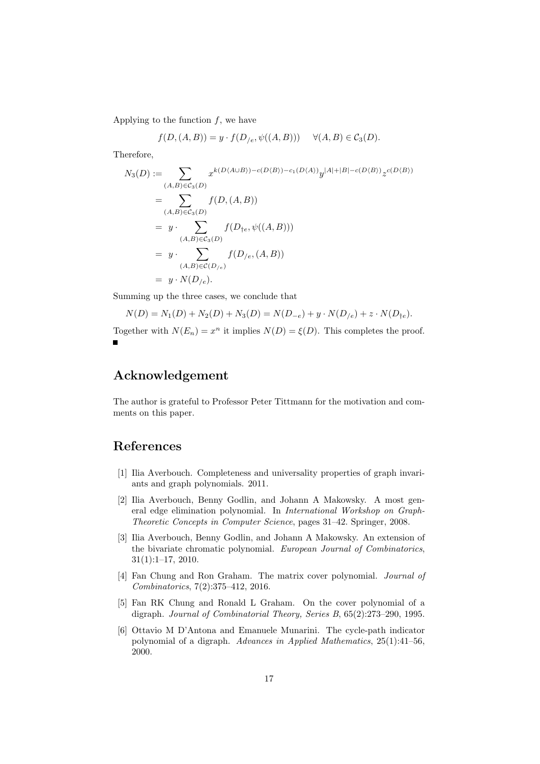Applying to the function  $f$ , we have

$$
f(D, (A, B)) = y \cdot f(D_{/e}, \psi((A, B))) \quad \forall (A, B) \in C_3(D).
$$

Therefore,

$$
N_3(D) := \sum_{(A,B)\in\mathcal{C}_3(D)} x^{k(D(A\cup B)) - c(D(B)) - c_1(D(A))} y^{|A| + |B| - c(D(B))} z^{c(D(B))}
$$
  
= 
$$
\sum_{(A,B)\in\mathcal{C}_3(D)} f(D,(A,B))
$$
  
= 
$$
y \cdot \sum_{(A,B)\in\mathcal{C}_3(D)} f(D_{\dagger e}, \psi((A,B)))
$$
  
= 
$$
y \cdot \sum_{(A,B)\in\mathcal{C}(D_{/e})} f(D_{/e}, (A,B))
$$
  
= 
$$
y \cdot N(D_{/e}).
$$

Summing up the three cases, we conclude that

$$
N(D) = N_1(D) + N_2(D) + N_3(D) = N(D_{-e}) + y \cdot N(D_{/e}) + z \cdot N(D_{\dagger e}).
$$

Together with  $N(E_n) = x^n$  it implies  $N(D) = \xi(D)$ . This completes the proof.

## Acknowledgement

The author is grateful to Professor Peter Tittmann for the motivation and comments on this paper.

### References

- <span id="page-16-5"></span>[1] Ilia Averbouch. Completeness and universality properties of graph invariants and graph polynomials. 2011.
- <span id="page-16-0"></span>[2] Ilia Averbouch, Benny Godlin, and Johann A Makowsky. A most general edge elimination polynomial. In International Workshop on Graph-Theoretic Concepts in Computer Science, pages 31–42. Springer, 2008.
- <span id="page-16-4"></span>[3] Ilia Averbouch, Benny Godlin, and Johann A Makowsky. An extension of the bivariate chromatic polynomial. European Journal of Combinatorics, 31(1):1–17, 2010.
- <span id="page-16-3"></span>[4] Fan Chung and Ron Graham. The matrix cover polynomial. Journal of Combinatorics, 7(2):375–412, 2016.
- <span id="page-16-1"></span>[5] Fan RK Chung and Ronald L Graham. On the cover polynomial of a digraph. Journal of Combinatorial Theory, Series B, 65(2):273–290, 1995.
- <span id="page-16-2"></span>[6] Ottavio M D'Antona and Emanuele Munarini. The cycle-path indicator polynomial of a digraph. Advances in Applied Mathematics,  $25(1):41-56$ , 2000.